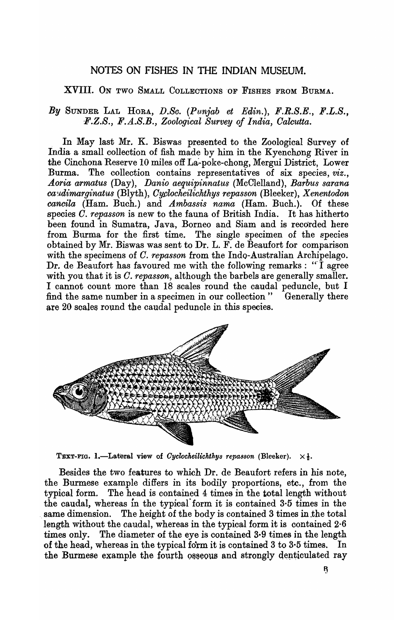## NOTES ON FISHES IN THE INDIAN MUSEUM.

## XVIII. ON TWO SMALL COLLECTIONS OF FISHES FROM BURMA.

## *By* SUNDER LAL HORA, *D.So. (Pun}ab et Edin.), F.R.S.E., F.L.S., F.Z.S., F.A.S.B., Zoological Survey of India, Oalcutta.*

In May last Mr. K. Biswas presented to the Zoological Survey of India a small collection of fish made by him in the Kyenchong River in the Cinchona Reserve 10 miles off La'-poke-chong, Mergui District, Lower Burma. The collection contains representatives of six species, *viz., A.oria armatus* (Day), *Danio aequipinnatus* (McClelland), *Barbus sarana co/'-ldimarginat·us* (Blyth), *Oyplocheilichtkys repasson* (Bleeker), *X enentodon cancila* (Ham. Buch.) and *Ambassis nama* (Ham. Buch.). Of these species *O. repasson* is new to the fauna of British India. It has hitherto been found in Sumatra, Java, Borneo and Siam and is recorded here from Burma for the first time. The single specimen of the species obtained by Mr. Biswas was sent to Dr. L. F. de Beaufort for comparison with the specimens of *C. repasson* from the Indo-Australian Archipelago. Dr. de Beaufort has favoured me with the following remarks: " $\overline{I}$  agree with you that it is *O. repasson,* although the barbels are generally smaller. I cannot count more than 18 scales round the caudal peduncle, but I find the same number in a specimen in our collection " Generally there are 20 scales round the caudal peduncle in this species.



TEXT-FIG. 1.-Lateral view of *Cyclocheilichthys repasson* (Bleeker).  $\times \frac{1}{2}$ .

Besides the two features to which Dr. de Beaufort refers in his note, the Burmese example differs in its bodily proportions, etc., from the typical form. The head is contained 4 times in the total length without the caudal, whereas in the typical-form it is contained 3·5 times in the same dimension. The height of the body is contained 3 times in the total length without the caudal, whereas in the typical form it is contained 2·6 times only. The diameter of the eye is contained 3·9 times in the length of the head, whereas in the typical form it is contained  $3$  to  $3.5$  times. In the Burmese example the fourth osseous and strongly denticulated ray